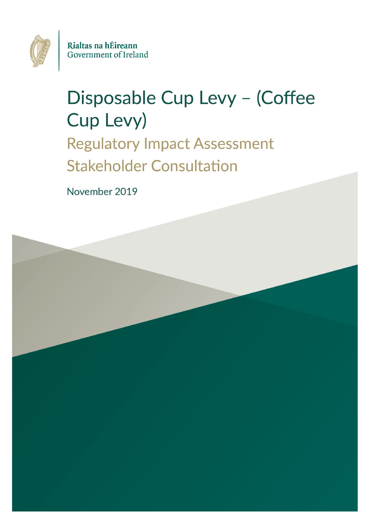

Rialtas na hÉireann Government of Ireland

# Disposable Cup Levy - (Coffee Cup Levy) **Regulatory Impact Assessment**

**Stakeholder Consultation** 

November 2019

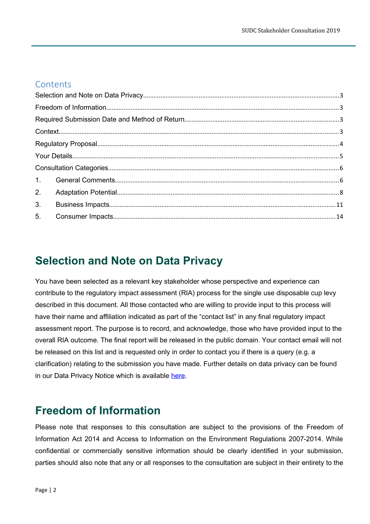### **Contents**

| 2. |  |  |
|----|--|--|
| 3. |  |  |
| 5. |  |  |
|    |  |  |

# <span id="page-1-0"></span>**Selection and Note on Data Privacy**

You have been selected as a relevant key stakeholder whose perspective and experience can contribute to the regulatory impact assessment (RIA) process for the single use disposable cup levy described in this document. All those contacted who are willing to provide input to this process will have their name and affiliation indicated as part of the "contact list" in any final regulatory impact assessment report. The purpose is to record, and acknowledge, those who have provided input to the overall RIA outcome. The final report will be released in the public domain. Your contact email will not be released on this list and is requested only in order to contact you if there is a query (e.g. a clarification) relating to the submission you have made. Further details on data privacy can be found in our Data Privacy Notice which is available [here.](https://www.dccae.gov.ie/documents/DCCAE%20Privacy%20Notice_full.pdf)

# <span id="page-1-1"></span>**Freedom of Information**

Please note that responses to this consultation are subject to the provisions of the Freedom of Information Act 2014 and Access to Information on the Environment Regulations 2007-2014. While confidential or commercially sensitive information should be clearly identified in your submission, parties should also note that any or all responses to the consultation are subject in their entirety to the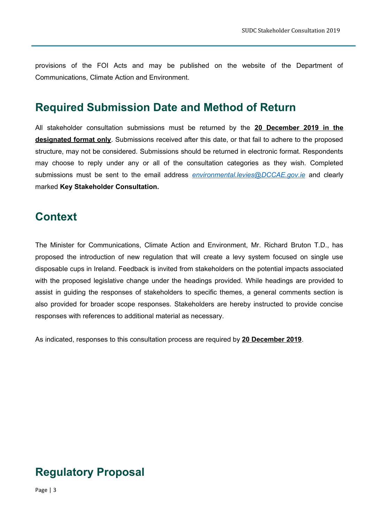provisions of the FOI Acts and may be published on the website of the Department of Communications, Climate Action and Environment.

## <span id="page-2-0"></span>**Required Submission Date and Method of Return**

All stakeholder consultation submissions must be returned by the **20 December 2019 in the designated format only**. Submissions received after this date, or that fail to adhere to the proposed structure, may not be considered. Submissions should be returned in electronic format. Respondents may choose to reply under any or all of the consultation categories as they wish. Completed submissions must be sent to the email address *[environmental.levies @DCCAE.gov.ie](mailto:environmental.levies@DCCAE.gov.ie)* and clearly marked **Key Stakeholder Consultation.**

# <span id="page-2-1"></span>**Context**

The Minister for Communications, Climate Action and Environment, Mr. Richard Bruton T.D., has proposed the introduction of new regulation that will create a levy system focused on single use disposable cups in Ireland. Feedback is invited from stakeholders on the potential impacts associated with the proposed legislative change under the headings provided. While headings are provided to assist in guiding the responses of stakeholders to specific themes, a general comments section is also provided for broader scope responses. Stakeholders are hereby instructed to provide concise responses with references to additional material as necessary.

As indicated, responses to this consultation process are required by **20 December 2019**.

# <span id="page-2-2"></span>**Regulatory Proposal**

Page | 3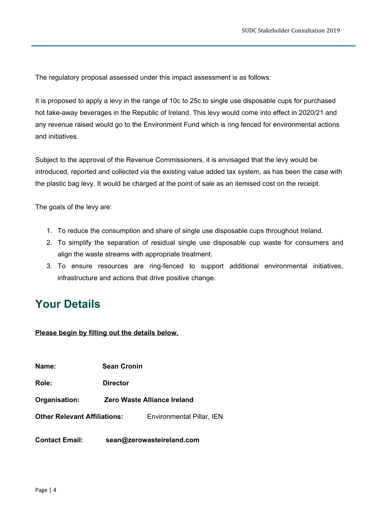The regulatory proposal assessed under this impact assessment is as follows:

It is proposed to apply a levy in the range of 10c to 25c to single use disposable cups for purchased hot take-away beverages in the Republic of Ireland. This levy would come into effect in 2020/21 and any revenue raised would go to the Environment Fund which is ring fenced for environmental actions and initiatives.

Subject to the approval of the Revenue Commissioners, it is envisaged that the levy would be introduced, reported and collected via the existing value added tax system, as has been the case with the plastic bag levy. It would be charged at the point of sale as an itemised cost on the receipt.

The goals of the levy are:

- 1. To reduce the consumption and share of single use disposable cups throughout Ireland.
- 2. To simplify the separation of residual single use disposable cup waste for consumers and align the waste streams with appropriate treatment.
- 3. To ensure resources are ring-fenced to support additional environmental initiatives, infrastructure and actions that drive positive change.

# <span id="page-3-0"></span>**Your Details**

**Please begin by filling out the details below.**

**Name: Sean Cronin**

**Role: Director**

**Organisation: Zero Waste Alliance Ireland**

**Other Relevant Affiliations:** Environmental Pillar, IEN

**Contact Email: sean@zerowasteireland.com**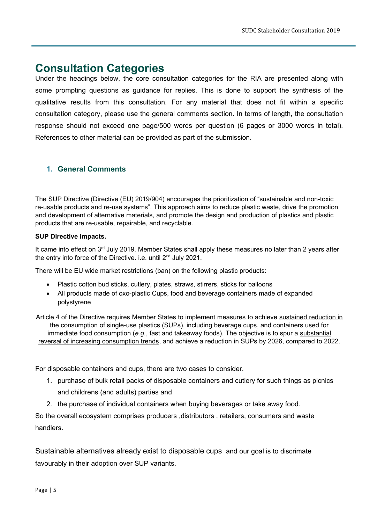## <span id="page-4-0"></span>**Consultation Categories**

Under the headings below, the core consultation categories for the RIA are presented along with some prompting questions as guidance for replies. This is done to support the synthesis of the qualitative results from this consultation. For any material that does not fit within a specific consultation category, please use the general comments section. In terms of length, the consultation response should not exceed one page/500 words per question (6 pages or 3000 words in total). References to other material can be provided as part of the submission.

#### <span id="page-4-1"></span>**1. General Comments**

The SUP Directive (Directive (EU) 2019/904) encourages the prioritization of "sustainable and non-toxic re-usable products and re-use systems". This approach aims to reduce plastic waste, drive the promotion and development of alternative materials, and promote the design and production of plastics and plastic products that are re-usable, repairable, and recyclable.

#### **SUP Directive impacts.**

It came into effect on 3<sup>rd</sup> July 2019. Member States shall apply these measures no later than 2 years after the entry into force of the Directive. i.e. until 2<sup>nd</sup> July 2021.

There will be EU wide market restrictions (ban) on the following plastic products:

- Plastic cotton bud sticks, cutlery, plates, straws, stirrers, sticks for balloons
- All products made of oxo-plastic Cups, food and beverage containers made of expanded polystyrene

Article 4 of the Directive requires Member States to implement measures to achieve sustained reduction in the consumption of single-use plastics (SUPs), including beverage cups, and containers used for immediate food consumption (*e.g.*, fast and takeaway foods). The objective is to spur a substantial reversal of increasing consumption trends, and achieve a reduction in SUPs by 2026, compared to 2022.

For disposable containers and cups, there are two cases to consider.

- 1. purchase of bulk retail packs of disposable containers and cutlery for such things as picnics and childrens (and adults) parties and
- 2. the purchase of individual containers when buying beverages or take away food.

So the overall ecosystem comprises producers ,distributors , retailers, consumers and waste handlers.

Sustainable alternatives already exist to disposable cups and our goal is to discrimate favourably in their adoption over SUP variants.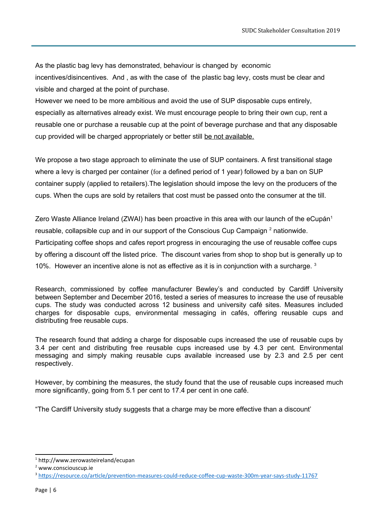As the plastic bag levy has demonstrated, behaviour is changed by economic incentives/disincentives. And , as with the case of the plastic bag levy, costs must be clear and visible and charged at the point of purchase.

However we need to be more ambitious and avoid the use of SUP disposable cups entirely, especially as alternatives already exist. We must encourage people to bring their own cup, rent a reusable one or purchase a reusable cup at the point of beverage purchase and that any disposable cup provided will be charged appropriately or better still be not available.

We propose a two stage approach to eliminate the use of SUP containers. A first transitional stage where a levy is charged per container (for a defined period of 1 year) followed by a ban on SUP container supply (applied to retailers).The legislation should impose the levy on the producers of the cups. When the cups are sold by retailers that cost must be passed onto the consumer at the till.

Zero Waste Alliance Ireland (ZWAI) has been proactive in this area with our launch of the eCupán<sup>[1](#page-5-0)</sup> reusable, collapsible cup and in our support of the Conscious Cup Campaign  $^2$  $^2$  nationwide. Participating coffee shops and cafes report progress in encouraging the use of reusable coffee cups by offering a discount off the listed price. The discount varies from shop to shop but is generally up to 10%. However an incentive alone is not as effective as it is in conjunction with a surcharge. [3](#page-5-2)

Research, commissioned by coffee manufacturer Bewley's and conducted by Cardiff University between September and December 2016, tested a series of measures to increase the use of reusable cups. The study was conducted across 12 business and university café sites. Measures included charges for disposable cups, environmental messaging in cafés, offering reusable cups and distributing free reusable cups.

The research found that adding a charge for disposable cups increased the use of reusable cups by 3.4 per cent and distributing free reusable cups increased use by 4.3 per cent. Environmental messaging and simply making reusable cups available increased use by 2.3 and 2.5 per cent respectively.

However, by combining the measures, the study found that the use of reusable cups increased much more significantly, going from 5.1 per cent to 17.4 per cent in one café.

"The Cardiff University study suggests that a charge may be more effective than a discount'

<span id="page-5-0"></span><sup>1</sup> http://www.zerowasteireland/ecupan

<span id="page-5-1"></span><sup>2</sup> www.consciouscup.ie

<span id="page-5-2"></span><sup>3</sup> <https://resource.co/article/prevention-measures-could-reduce-coffee-cup-waste-300m-year-says-study-11767>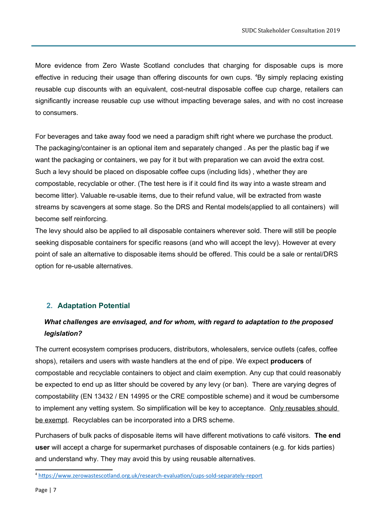More evidence from Zero Waste Scotland concludes that charging for disposable cups is more effective in reducing their usage than offering discounts for own cups. <sup>[4](#page-6-1)</sup>By simply replacing existing reusable cup discounts with an equivalent, cost-neutral disposable coffee cup charge, retailers can significantly increase reusable cup use without impacting beverage sales, and with no cost increase to consumers.

For beverages and take away food we need a paradigm shift right where we purchase the product. The packaging/container is an optional item and separately changed . As per the plastic bag if we want the packaging or containers, we pay for it but with preparation we can avoid the extra cost. Such a levy should be placed on disposable coffee cups (including lids) , whether they are compostable, recyclable or other. (The test here is if it could find its way into a waste stream and become litter). Valuable re-usable items, due to their refund value, will be extracted from waste streams by scavengers at some stage. So the DRS and Rental models(applied to all containers) will become self reinforcing.

The levy should also be applied to all disposable containers wherever sold. There will still be people seeking disposable containers for specific reasons (and who will accept the levy). However at every point of sale an alternative to disposable items should be offered. This could be a sale or rental/DRS option for re-usable alternatives.

### <span id="page-6-0"></span>**2. Adaptation Potential**

### *What challenges are envisaged, and for whom, with regard to adaptation to the proposed legislation?*

The current ecosystem comprises producers, distributors, wholesalers, service outlets (cafes, coffee shops), retailers and users with waste handlers at the end of pipe. We expect **producers** of compostable and recyclable containers to object and claim exemption. Any cup that could reasonably be expected to end up as litter should be covered by any levy (or ban). There are varying degres of compostability (EN 13432 / EN 14995 or the CRE compostible scheme) and it woud be cumbersome to implement any vetting system. So simplification will be key to acceptance. Only reusables should be exempt. Recyclables can be incorporated into a DRS scheme.

Purchasers of bulk packs of disposable items will have different motivations to café visitors. **The end user** will accept a charge for supermarket purchases of disposable containers (e.g. for kids parties) and understand why. They may avoid this by using reusable alternatives.

<span id="page-6-1"></span><sup>4</sup> <https://www.zerowastescotland.org.uk/research-evaluation/cups-sold-separately-report>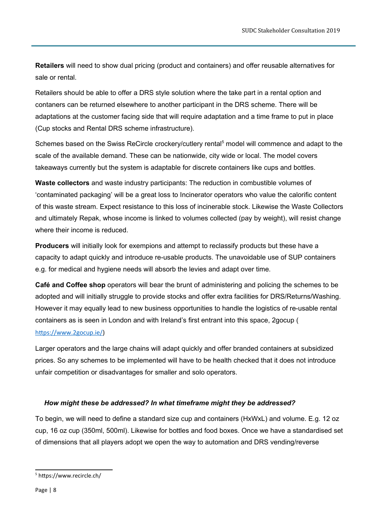**Retailers** will need to show dual pricing (product and containers) and offer reusable alternatives for sale or rental.

Retailers should be able to offer a DRS style solution where the take part in a rental option and contaners can be returned elsewhere to another participant in the DRS scheme. There will be adaptations at the customer facing side that will require adaptation and a time frame to put in place (Cup stocks and Rental DRS scheme infrastructure).

Schemes based on the Swiss ReCircle crockery/cutlery rental<sup>[5](#page-7-0)</sup> model will commence and adapt to the scale of the available demand. These can be nationwide, city wide or local. The model covers takeaways currently but the system is adaptable for discrete containers like cups and bottles.

**Waste collectors** and waste industry participants: The reduction in combustible volumes of 'contaminated packaging' will be a great loss to Incinerator operators who value the calorific content of this waste stream. Expect resistance to this loss of incinerable stock. Likewise the Waste Collectors and ultimately Repak, whose income is linked to volumes collected (pay by weight), will resist change where their income is reduced.

**Producers** will initially look for exempions and attempt to reclassify products but these have a capacity to adapt quickly and introduce re-usable products. The unavoidable use of SUP containers e.g. for medical and hygiene needs will absorb the levies and adapt over time.

**Café and Coffee shop** operators will bear the brunt of administering and policing the schemes to be adopted and will initially struggle to provide stocks and offer extra facilities for DRS/Returns/Washing. However it may equally lead to new business opportunities to handle the logistics of re-usable rental containers as is seen in London and with Ireland's first entrant into this space, 2gocup (

#### <https://www.2gocup.ie/>)

Larger operators and the large chains will adapt quickly and offer branded containers at subsidized prices. So any schemes to be implemented will have to be health checked that it does not introduce unfair competition or disadvantages for smaller and solo operators.

#### *How might these be addressed? In what timeframe might they be addressed?*

To begin, we will need to define a standard size cup and containers (HxWxL) and volume. E.g. 12 oz cup, 16 oz cup (350ml, 500ml). Likewise for bottles and food boxes. Once we have a standardised set of dimensions that all players adopt we open the way to automation and DRS vending/reverse

<span id="page-7-0"></span><sup>5</sup> https://www.recircle.ch/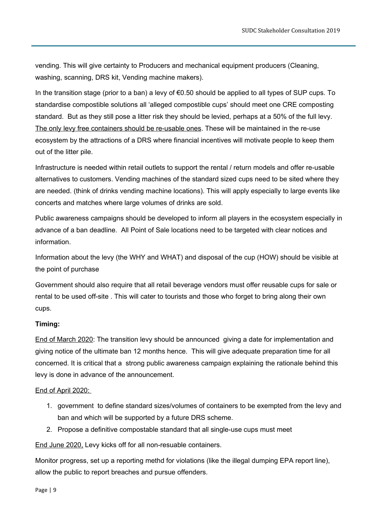vending. This will give certainty to Producers and mechanical equipment producers (Cleaning, washing, scanning, DRS kit, Vending machine makers).

In the transition stage (prior to a ban) a levy of €0.50 should be applied to all types of SUP cups. To standardise compostible solutions all 'alleged compostible cups' should meet one CRE composting standard. But as they still pose a litter risk they should be levied, perhaps at a 50% of the full levy. The only levy free containers should be re-usable ones. These will be maintained in the re-use ecosystem by the attractions of a DRS where financial incentives will motivate people to keep them out of the litter pile.

Infrastructure is needed within retail outlets to support the rental / return models and offer re-usable alternatives to customers. Vending machines of the standard sized cups need to be sited where they are needed. (think of drinks vending machine locations). This will apply especially to large events like concerts and matches where large volumes of drinks are sold.

Public awareness campaigns should be developed to inform all players in the ecosystem especially in advance of a ban deadline. All Point of Sale locations need to be targeted with clear notices and information.

Information about the levy (the WHY and WHAT) and disposal of the cup (HOW) should be visible at the point of purchase

Government should also require that all retail beverage vendors must offer reusable cups for sale or rental to be used off-site . This will cater to tourists and those who forget to bring along their own cups.

#### **Timing:**

End of March 2020: The transition levy should be announced giving a date for implementation and giving notice of the ultimate ban 12 months hence. This will give adequate preparation time for all concerned. It is critical that a strong public awareness campaign explaining the rationale behind this levy is done in advance of the announcement.

#### End of April 2020:

- 1. government to define standard sizes/volumes of containers to be exempted from the levy and ban and which will be supported by a future DRS scheme.
- 2. Propose a definitive compostable standard that all single-use cups must meet

End June 2020, Levy kicks off for all non-resuable containers.

Monitor progress, set up a reporting methd for violations (like the illegal dumping EPA report line), allow the public to report breaches and pursue offenders.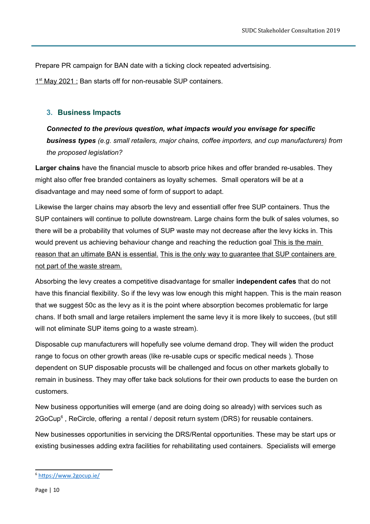Prepare PR campaign for BAN date with a ticking clock repeated advertsising.

1<sup>st</sup> May 2021 : Ban starts off for non-reusable SUP containers.

#### <span id="page-9-0"></span>**3. Business Impacts**

*Connected to the previous question, what impacts would you envisage for specific business types (e.g. small retailers, major chains, coffee importers, and cup manufacturers) from the proposed legislation?*

**Larger chains** have the financial muscle to absorb price hikes and offer branded re-usables. They might also offer free branded containers as loyalty schemes. Small operators will be at a disadvantage and may need some of form of support to adapt.

Likewise the larger chains may absorb the levy and essentiall offer free SUP containers. Thus the SUP containers will continue to pollute downstream. Large chains form the bulk of sales volumes, so there will be a probability that volumes of SUP waste may not decrease after the levy kicks in. This would prevent us achieving behaviour change and reaching the reduction goal This is the main reason that an ultimate BAN is essential. This is the only way to quarantee that SUP containers are not part of the waste stream.

Absorbing the levy creates a competitive disadvantage for smaller **independent cafes** that do not have this financial flexibility. So if the levy was low enough this might happen. This is the main reason that we suggest 50c as the levy as it is the point where absorption becomes problematic for large chans. If both small and large retailers implement the same levy it is more likely to succees, (but still will not eliminate SUP items going to a waste stream).

Disposable cup manufacturers will hopefully see volume demand drop. They will widen the product range to focus on other growth areas (like re-usable cups or specific medical needs ). Those dependent on SUP disposable procusts will be challenged and focus on other markets globally to remain in business. They may offer take back solutions for their own products to ease the burden on customers.

New business opportunities will emerge (and are doing doing so already) with services such as 2GoCup<sup>[6](#page-9-1)</sup>, ReCircle, offering a rental / deposit return system (DRS) for reusable containers.

New businesses opportunities in servicing the DRS/Rental opportunities. These may be start ups or existing businesses adding extra facilities for rehabilitating used containers. Specialists will emerge

<span id="page-9-1"></span><sup>6</sup> <https://www.2gocup.ie/>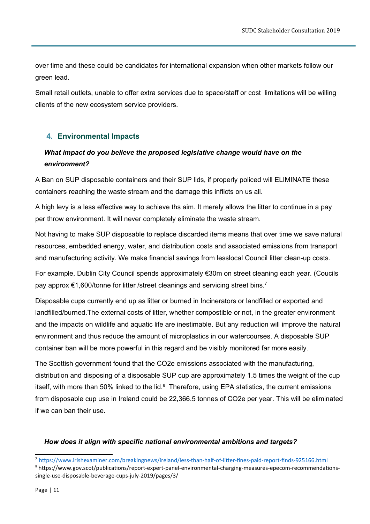over time and these could be candidates for international expansion when other markets follow our green lead.

Small retail outlets, unable to offer extra services due to space/staff or cost limitations will be willing clients of the new ecosystem service providers.

#### **4. Environmental Impacts**

### *What impact do you believe the proposed legislative change would have on the environment?*

A Ban on SUP disposable containers and their SUP lids, if properly policed will ELIMINATE these containers reaching the waste stream and the damage this inflicts on us all.

A high levy is a less effective way to achieve ths aim. It merely allows the litter to continue in a pay per throw environment. It will never completely eliminate the waste stream.

Not having to make SUP disposable to replace discarded items means that over time we save natural resources, embedded energy, water, and distribution costs and associated emissions from transport and manufacturing activity. We make financial savings from lesslocal Council litter clean-up costs.

For example, Dublin City Council spends approximately €30m on street cleaning each year. (Coucils pay approx €1,600/tonne for litter /street cleanings and servicing street bins.<sup>[7](#page-10-0)</sup>

Disposable cups currently end up as litter or burned in Incinerators or landfilled or exported and landfilled/burned.The external costs of litter, whether compostible or not, in the greater environment and the impacts on wildlife and aquatic life are inestimable. But any reduction will improve the natural environment and thus reduce the amount of microplastics in our watercourses. A disposable SUP container ban will be more powerful in this regard and be visibly monitored far more easily.

The Scottish government found that the CO2e emissions associated with the manufacturing, distribution and disposing of a disposable SUP cup are approximately 1.5 times the weight of the cup itself, with more than 50% linked to the lid. $8$  Therefore, using EPA statistics, the current emissions from disposable cup use in Ireland could be 22,366.5 tonnes of CO2e per year. This will be eliminated if we can ban their use.

#### *How does it align with specific national environmental ambitions and targets?*

<span id="page-10-0"></span><sup>7</sup> <https://www.irishexaminer.com/breakingnews/ireland/less-than-half-of-litter-fines-paid-report-finds-925166.html>

<span id="page-10-1"></span><sup>8</sup> https://www.gov.scot/publications/report-expert-panel-environmental-charging-measures-epecom-recommendationssingle-use-disposable-beverage-cups-july-2019/pages/3/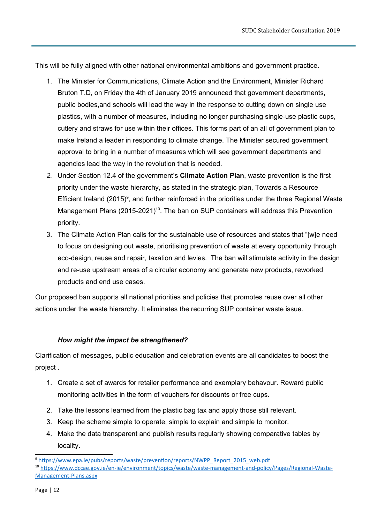This will be fully aligned with other national environmental ambitions and government practice.

- 1. The Minister for Communications, Climate Action and the Environment, Minister Richard Bruton T.D, on Friday the 4th of January 2019 announced that government departments, public bodies,and schools will lead the way in the response to cutting down on single use plastics, with a number of measures, including no longer purchasing single-use plastic cups, cutlery and straws for use within their offices. This forms part of an all of government plan to make Ireland a leader in responding to climate change. The Minister secured government approval to bring in a number of measures which will see government departments and agencies lead the way in the revolution that is needed.
- *2.* Under Section 12.4 of the government's **Climate Action Plan**, waste prevention is the first priority under the waste hierarchy, as stated in the strategic plan, Towards a Resource Efficient Ireland (2015)<sup>[9](#page-11-0)</sup>, and further reinforced in the priorities under the three Regional Waste Management Plans (2015-2021)<sup>[10](#page-11-1)</sup>. The ban on SUP containers will address this Prevention priority.
- 3. The Climate Action Plan calls for the sustainable use of resources and states that "[w]e need to focus on designing out waste, prioritising prevention of waste at every opportunity through eco-design, reuse and repair, taxation and levies. The ban will stimulate activity in the design and re-use upstream areas of a circular economy and generate new products, reworked products and end use cases.

Our proposed ban supports all national priorities and policies that promotes reuse over all other actions under the waste hierarchy. It eliminates the recurring SUP container waste issue.

#### *How might the impact be strengthened?*

Clarification of messages, public education and celebration events are all candidates to boost the project .

- 1. Create a set of awards for retailer performance and exemplary behavour. Reward public monitoring activities in the form of vouchers for discounts or free cups.
- 2. Take the lessons learned from the plastic bag tax and apply those still relevant.
- 3. Keep the scheme simple to operate, simple to explain and simple to monitor.
- 4. Make the data transparent and publish results regularly showing comparative tables by locality.

<span id="page-11-0"></span><sup>&</sup>lt;sup>9</sup> [https://www.epa.ie/pubs/reports/waste/prevention/reports/NWPP\\_Report\\_2015\\_web.pdf](https://www.epa.ie/pubs/reports/waste/prevention/reports/NWPP_Report_2015_web.pdf)

<span id="page-11-1"></span><sup>10</sup> [https://www.dccae.gov.ie/en-ie/environment/topics/waste/waste-management-and-policy/Pages/Regional-Waste-](https://www.dccae.gov.ie/en-ie/environment/topics/waste/waste-management-and-policy/Pages/Regional-Waste-Management-Plans.aspx)[Management-Plans.aspx](https://www.dccae.gov.ie/en-ie/environment/topics/waste/waste-management-and-policy/Pages/Regional-Waste-Management-Plans.aspx)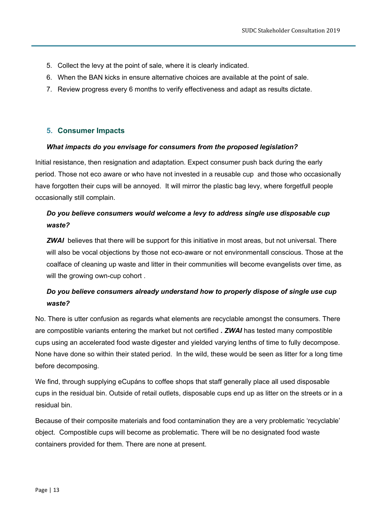- 5. Collect the levy at the point of sale, where it is clearly indicated.
- 6. When the BAN kicks in ensure alternative choices are available at the point of sale.
- 7. Review progress every 6 months to verify effectiveness and adapt as results dictate.

#### <span id="page-12-0"></span>**5. Consumer Impacts**

#### *What impacts do you envisage for consumers from the proposed legislation?*

Initial resistance, then resignation and adaptation. Expect consumer push back during the early period. Those not eco aware or who have not invested in a reusable cup and those who occasionally have forgotten their cups will be annoyed. It will mirror the plastic bag levy, where forgetfull people occasionally still complain.

### *Do you believe consumers would welcome a levy to address single use disposable cup waste?*

*ZWAI* believes that there will be support for this initiative in most areas, but not universal. There will also be vocal objections by those not eco-aware or not environmentall conscious. Those at the coalface of cleaning up waste and litter in their communities will become evangelists over time, as will the growing own-cup cohort.

### *Do you believe consumers already understand how to properly dispose of single use cup waste?*

No. There is utter confusion as regards what elements are recyclable amongst the consumers. There are compostible variants entering the market but not certified *. ZWAI* has tested many compostible cups using an accelerated food waste digester and yielded varying lenths of time to fully decompose. None have done so within their stated period. In the wild, these would be seen as litter for a long time before decomposing.

We find, through supplying eCupáns to coffee shops that staff generally place all used disposable cups in the residual bin. Outside of retail outlets, disposable cups end up as litter on the streets or in a residual bin.

Because of their composite materials and food contamination they are a very problematic 'recyclable' object. Compostible cups will become as problematic. There will be no designated food waste containers provided for them. There are none at present.